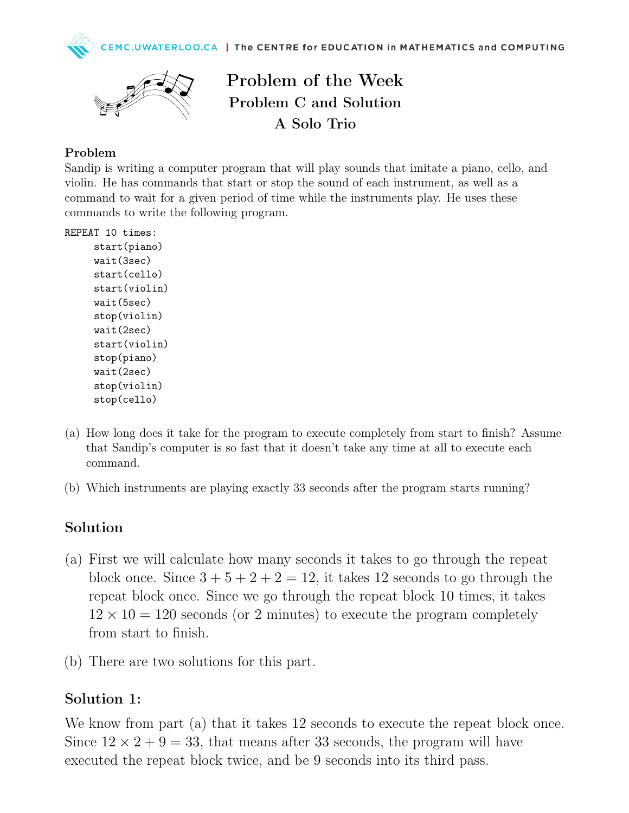

Problem of the Week Problem C and Solution A Solo Trio

## Problem

Sandip is writing a computer program that will play sounds that imitate a piano, cello, and violin. He has commands that start or stop the sound of each instrument, as well as a command to wait for a given period of time while the instruments play. He uses these commands to write the following program.

```
REPEAT 10 times:
```

```
start(piano)
wait(3sec)
start(cello)
start(violin)
wait(5sec)
stop(violin)
wait(2sec)
start(violin)
stop(piano)
wait(2sec)
stop(violin)
stop(cello)
```
- (a) How long does it take for the program to execute completely from start to finish? Assume that Sandip's computer is so fast that it doesn't take any time at all to execute each command.
- (b) Which instruments are playing exactly 33 seconds after the program starts running?

## Solution

- (a) First we will calculate how many seconds it takes to go through the repeat block once. Since  $3 + 5 + 2 + 2 = 12$ , it takes 12 seconds to go through the repeat block once. Since we go through the repeat block 10 times, it takes  $12 \times 10 = 120$  seconds (or 2 minutes) to execute the program completely from start to finish.
- (b) There are two solutions for this part.

## Solution 1:

We know from part (a) that it takes 12 seconds to execute the repeat block once. Since  $12 \times 2 + 9 = 33$ , that means after 33 seconds, the program will have executed the repeat block twice, and be 9 seconds into its third pass.